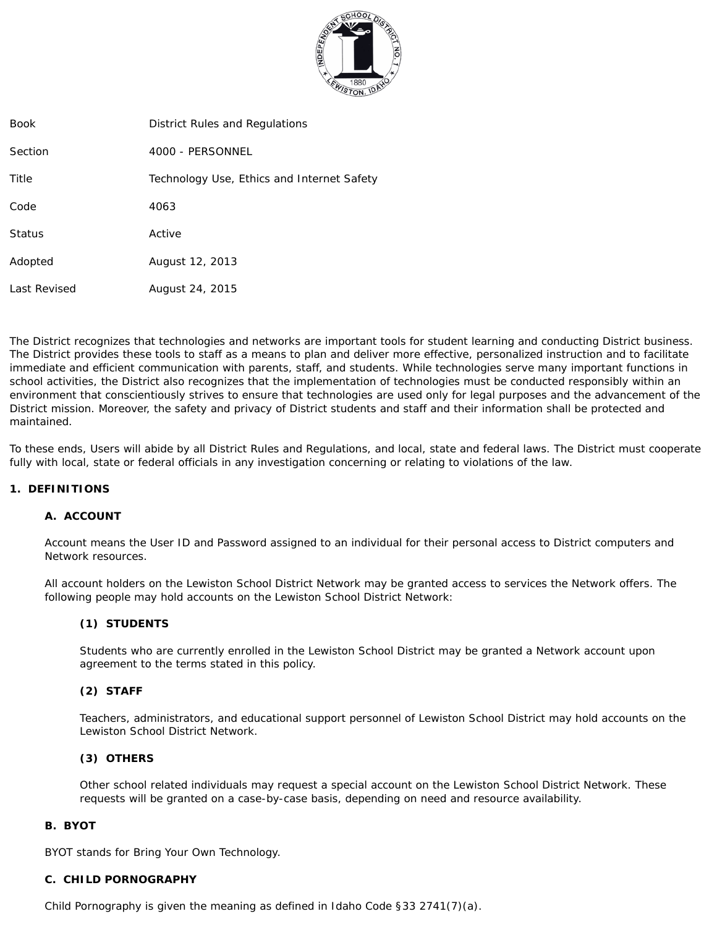

| Book         | District Rules and Regulations             |
|--------------|--------------------------------------------|
| Section      | 4000 - PERSONNEL                           |
| Title        | Technology Use, Ethics and Internet Safety |
| Code         | 4063                                       |
| Status       | Active                                     |
| Adopted      | August 12, 2013                            |
| Last Revised | August 24, 2015                            |

The District recognizes that technologies and networks are important tools for student learning and conducting District business. The District provides these tools to staff as a means to plan and deliver more effective, personalized instruction and to facilitate immediate and efficient communication with parents, staff, and students. While technologies serve many important functions in school activities, the District also recognizes that the implementation of technologies must be conducted responsibly within an environment that conscientiously strives to ensure that technologies are used only for legal purposes and the advancement of the District mission. Moreover, the safety and privacy of District students and staff and their information shall be protected and maintained.

To these ends, Users will abide by all District Rules and Regulations, and local, state and federal laws. The District must cooperate fully with local, state or federal officials in any investigation concerning or relating to violations of the law.

## **1. DEFINITIONS**

#### **A. ACCOUNT**

Account means the User ID and Password assigned to an individual for their personal access to District computers and Network resources.

All account holders on the Lewiston School District Network may be granted access to services the Network offers. The following people may hold accounts on the Lewiston School District Network:

## **(1) STUDENTS**

Students who are currently enrolled in the Lewiston School District may be granted a Network account upon agreement to the terms stated in this policy.

## **(2) STAFF**

Teachers, administrators, and educational support personnel of Lewiston School District may hold accounts on the Lewiston School District Network.

#### **(3) OTHERS**

Other school related individuals may request a special account on the Lewiston School District Network. These requests will be granted on a case-by-case basis, depending on need and resource availability.

### **B. BYOT**

BYOT stands for Bring Your Own Technology.

#### **C. CHILD PORNOGRAPHY**

Child Pornography is given the meaning as defined in Idaho Code §33 2741(7)(a).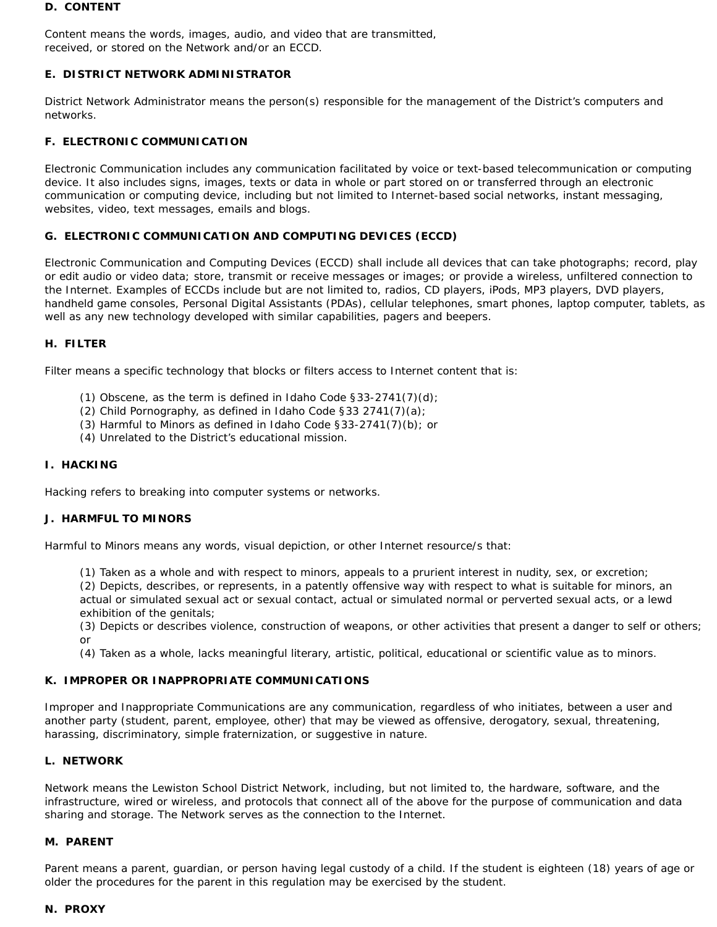### **D. CONTENT**

Content means the words, images, audio, and video that are transmitted, received, or stored on the Network and/or an ECCD.

## **E. DISTRICT NETWORK ADMINISTRATOR**

District Network Administrator means the person(s) responsible for the management of the District's computers and networks.

## **F. ELECTRONIC COMMUNICATION**

Electronic Communication includes any communication facilitated by voice or text-based telecommunication or computing device. It also includes signs, images, texts or data in whole or part stored on or transferred through an electronic communication or computing device, including but not limited to Internet-based social networks, instant messaging, websites, video, text messages, emails and blogs.

# **G. ELECTRONIC COMMUNICATION AND COMPUTING DEVICES (ECCD)**

Electronic Communication and Computing Devices (ECCD) shall include all devices that can take photographs; record, play or edit audio or video data; store, transmit or receive messages or images; or provide a wireless, unfiltered connection to the Internet. Examples of ECCDs include but are not limited to, radios, CD players, iPods, MP3 players, DVD players, handheld game consoles, Personal Digital Assistants (PDAs), cellular telephones, smart phones, laptop computer, tablets, as well as any new technology developed with similar capabilities, pagers and beepers.

### **H. FILTER**

Filter means a specific technology that blocks or filters access to Internet content that is:

- (1) Obscene, as the term is defined in Idaho Code  $\S 33-2741(7)(d)$ ;
- (2) Child Pornography, as defined in Idaho Code §33 2741(7)(a);
- (3) Harmful to Minors as defined in Idaho Code §33-2741(7)(b); or
- (4) Unrelated to the District's educational mission.

### **I. HACKING**

Hacking refers to breaking into computer systems or networks.

## **J. HARMFUL TO MINORS**

Harmful to Minors means any words, visual depiction, or other Internet resource/s that:

(1) Taken as a whole and with respect to minors, appeals to a prurient interest in nudity, sex, or excretion; (2) Depicts, describes, or represents, in a patently offensive way with respect to what is suitable for minors, an actual or simulated sexual act or sexual contact, actual or simulated normal or perverted sexual acts, or a lewd exhibition of the genitals;

(3) Depicts or describes violence, construction of weapons, or other activities that present a danger to self or others; or

(4) Taken as a whole, lacks meaningful literary, artistic, political, educational or scientific value as to minors.

#### **K. IMPROPER OR INAPPROPRIATE COMMUNICATIONS**

Improper and Inappropriate Communications are any communication, regardless of who initiates, between a user and another party (student, parent, employee, other) that may be viewed as offensive, derogatory, sexual, threatening, harassing, discriminatory, simple fraternization, or suggestive in nature.

## **L. NETWORK**

Network means the Lewiston School District Network, including, but not limited to, the hardware, software, and the infrastructure, wired or wireless, and protocols that connect all of the above for the purpose of communication and data sharing and storage. The Network serves as the connection to the Internet.

#### **M. PARENT**

Parent means a parent, guardian, or person having legal custody of a child. If the student is eighteen (18) years of age or older the procedures for the parent in this regulation may be exercised by the student.

#### **N. PROXY**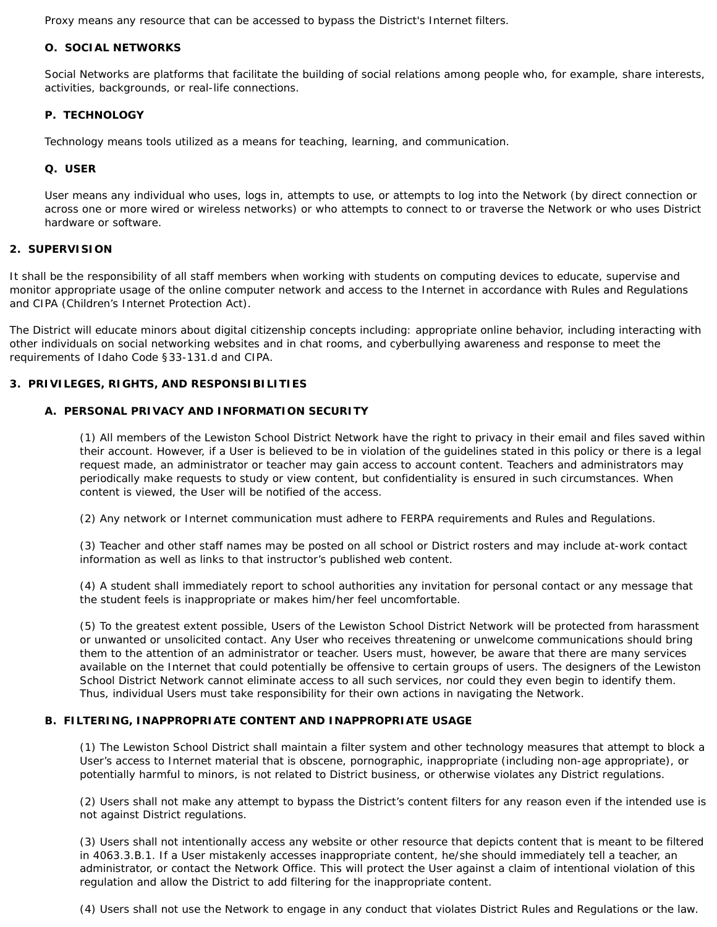Proxy means any resource that can be accessed to bypass the District's Internet filters.

### **O. SOCIAL NETWORKS**

Social Networks are platforms that facilitate the building of social relations among people who, for example, share interests, activities, backgrounds, or real-life connections.

### **P. TECHNOLOGY**

Technology means tools utilized as a means for teaching, learning, and communication.

### **Q. USER**

User means any individual who uses, logs in, attempts to use, or attempts to log into the Network (by direct connection or across one or more wired or wireless networks) or who attempts to connect to or traverse the Network or who uses District hardware or software.

### **2. SUPERVISION**

It shall be the responsibility of all staff members when working with students on computing devices to educate, supervise and monitor appropriate usage of the online computer network and access to the Internet in accordance with Rules and Regulations and CIPA (Children's Internet Protection Act).

The District will educate minors about digital citizenship concepts including: appropriate online behavior, including interacting with other individuals on social networking websites and in chat rooms, and cyberbullying awareness and response to meet the requirements of Idaho Code §33-131.d and CIPA.

### **3. PRIVILEGES, RIGHTS, AND RESPONSIBILITIES**

### **A. PERSONAL PRIVACY AND INFORMATION SECURITY**

(1) All members of the Lewiston School District Network have the right to privacy in their email and files saved within their account. However, if a User is believed to be in violation of the guidelines stated in this policy or there is a legal request made, an administrator or teacher may gain access to account content. Teachers and administrators may periodically make requests to study or view content, but confidentiality is ensured in such circumstances. When content is viewed, the User will be notified of the access.

(2) Any network or Internet communication must adhere to FERPA requirements and Rules and Regulations.

(3) Teacher and other staff names may be posted on all school or District rosters and may include at-work contact information as well as links to that instructor's published web content.

(4) A student shall immediately report to school authorities any invitation for personal contact or any message that the student feels is inappropriate or makes him/her feel uncomfortable.

(5) To the greatest extent possible, Users of the Lewiston School District Network will be protected from harassment or unwanted or unsolicited contact. Any User who receives threatening or unwelcome communications should bring them to the attention of an administrator or teacher. Users must, however, be aware that there are many services available on the Internet that could potentially be offensive to certain groups of users. The designers of the Lewiston School District Network cannot eliminate access to all such services, nor could they even begin to identify them. Thus, individual Users must take responsibility for their own actions in navigating the Network.

## **B. FILTERING, INAPPROPRIATE CONTENT AND INAPPROPRIATE USAGE**

(1) The Lewiston School District shall maintain a filter system and other technology measures that attempt to block a User's access to Internet material that is obscene, pornographic, inappropriate (including non-age appropriate), or potentially harmful to minors, is not related to District business, or otherwise violates any District regulations.

(2) Users shall not make any attempt to bypass the District's content filters for any reason even if the intended use is not against District regulations.

(3) Users shall not intentionally access any website or other resource that depicts content that is meant to be filtered in 4063.3.B.1. If a User mistakenly accesses inappropriate content, he/she should immediately tell a teacher, an administrator, or contact the Network Office. This will protect the User against a claim of intentional violation of this regulation and allow the District to add filtering for the inappropriate content.

(4) Users shall not use the Network to engage in any conduct that violates District Rules and Regulations or the law.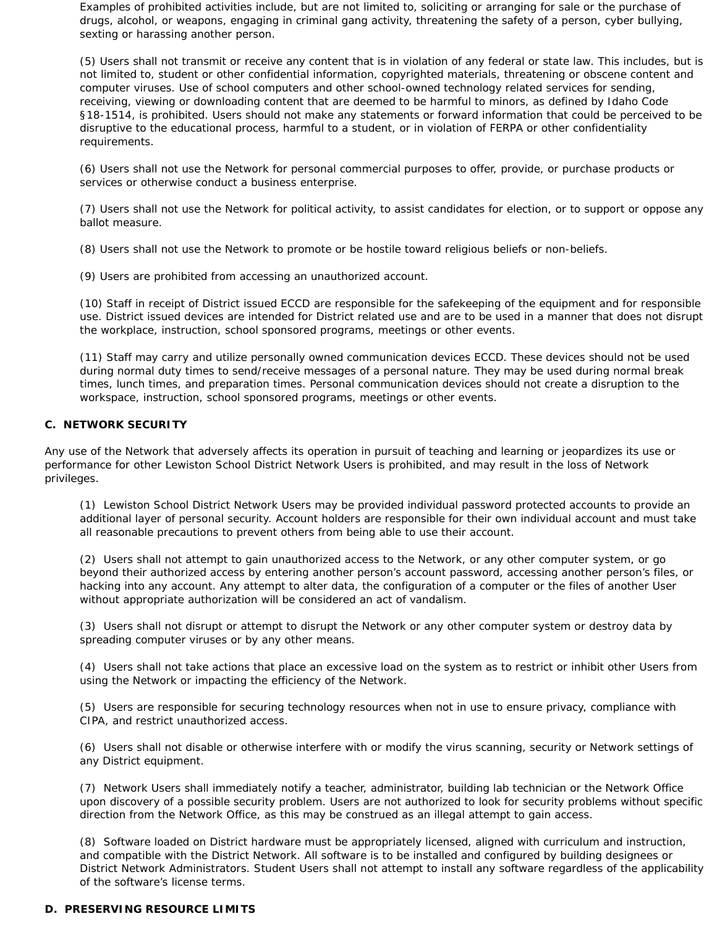Examples of prohibited activities include, but are not limited to, soliciting or arranging for sale or the purchase of drugs, alcohol, or weapons, engaging in criminal gang activity, threatening the safety of a person, cyber bullying, sexting or harassing another person.

(5) Users shall not transmit or receive any content that is in violation of any federal or state law. This includes, but is not limited to, student or other confidential information, copyrighted materials, threatening or obscene content and computer viruses. Use of school computers and other school-owned technology related services for sending, receiving, viewing or downloading content that are deemed to be harmful to minors, as defined by Idaho Code §18-1514, is prohibited. Users should not make any statements or forward information that could be perceived to be disruptive to the educational process, harmful to a student, or in violation of FERPA or other confidentiality requirements.

(6) Users shall not use the Network for personal commercial purposes to offer, provide, or purchase products or services or otherwise conduct a business enterprise.

(7) Users shall not use the Network for political activity, to assist candidates for election, or to support or oppose any ballot measure.

(8) Users shall not use the Network to promote or be hostile toward religious beliefs or non-beliefs.

(9) Users are prohibited from accessing an unauthorized account.

(10) Staff in receipt of District issued ECCD are responsible for the safekeeping of the equipment and for responsible use. District issued devices are intended for District related use and are to be used in a manner that does not disrupt the workplace, instruction, school sponsored programs, meetings or other events.

(11) Staff may carry and utilize personally owned communication devices ECCD. These devices should not be used during normal duty times to send/receive messages of a personal nature. They may be used during normal break times, lunch times, and preparation times. Personal communication devices should not create a disruption to the workspace, instruction, school sponsored programs, meetings or other events.

## **C. NETWORK SECURITY**

Any use of the Network that adversely affects its operation in pursuit of teaching and learning or jeopardizes its use or performance for other Lewiston School District Network Users is prohibited, and may result in the loss of Network privileges.

(1) Lewiston School District Network Users may be provided individual password protected accounts to provide an additional layer of personal security. Account holders are responsible for their own individual account and must take all reasonable precautions to prevent others from being able to use their account.

(2) Users shall not attempt to gain unauthorized access to the Network, or any other computer system, or go beyond their authorized access by entering another person's account password, accessing another person's files, or hacking into any account. Any attempt to alter data, the configuration of a computer or the files of another User without appropriate authorization will be considered an act of vandalism.

(3) Users shall not disrupt or attempt to disrupt the Network or any other computer system or destroy data by spreading computer viruses or by any other means.

(4) Users shall not take actions that place an excessive load on the system as to restrict or inhibit other Users from using the Network or impacting the efficiency of the Network.

(5) Users are responsible for securing technology resources when not in use to ensure privacy, compliance with CIPA, and restrict unauthorized access.

(6) Users shall not disable or otherwise interfere with or modify the virus scanning, security or Network settings of any District equipment.

(7) Network Users shall immediately notify a teacher, administrator, building lab technician or the Network Office upon discovery of a possible security problem. Users are not authorized to look for security problems without specific direction from the Network Office, as this may be construed as an illegal attempt to gain access.

(8) Software loaded on District hardware must be appropriately licensed, aligned with curriculum and instruction, and compatible with the District Network. All software is to be installed and configured by building designees or District Network Administrators. Student Users shall not attempt to install any software regardless of the applicability of the software's license terms.

## **D. PRESERVING RESOURCE LIMITS**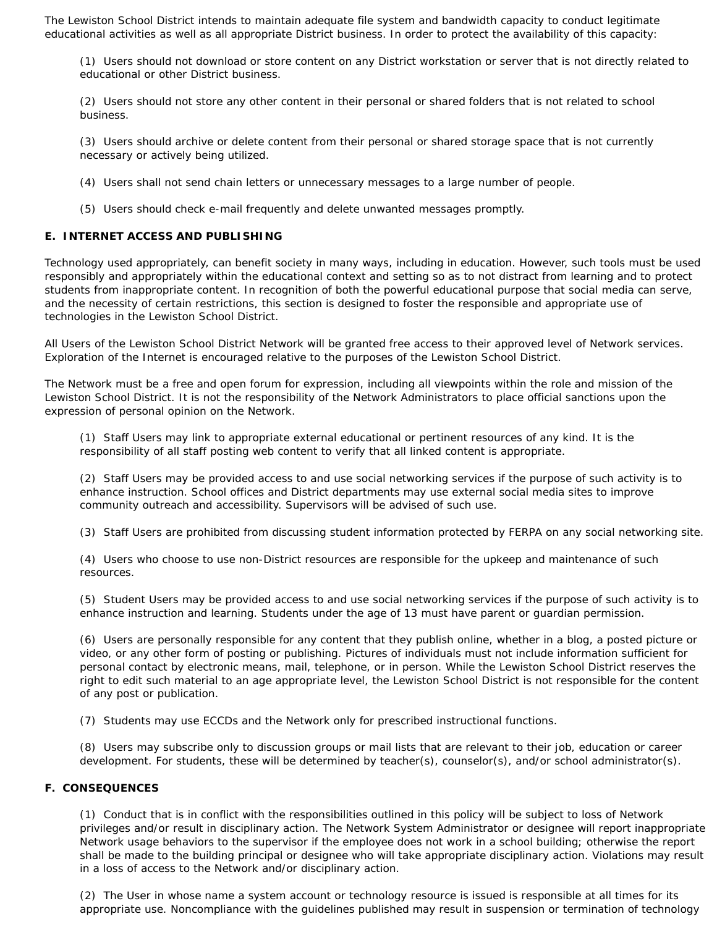The Lewiston School District intends to maintain adequate file system and bandwidth capacity to conduct legitimate educational activities as well as all appropriate District business. In order to protect the availability of this capacity:

(1) Users should not download or store content on any District workstation or server that is not directly related to educational or other District business.

(2) Users should not store any other content in their personal or shared folders that is not related to school business.

(3) Users should archive or delete content from their personal or shared storage space that is not currently necessary or actively being utilized.

(4) Users shall not send chain letters or unnecessary messages to a large number of people.

(5) Users should check e-mail frequently and delete unwanted messages promptly.

### **E. INTERNET ACCESS AND PUBLISHING**

Technology used appropriately, can benefit society in many ways, including in education. However, such tools must be used responsibly and appropriately within the educational context and setting so as to not distract from learning and to protect students from inappropriate content. In recognition of both the powerful educational purpose that social media can serve, and the necessity of certain restrictions, this section is designed to foster the responsible and appropriate use of technologies in the Lewiston School District.

All Users of the Lewiston School District Network will be granted free access to their approved level of Network services. Exploration of the Internet is encouraged relative to the purposes of the Lewiston School District.

The Network must be a free and open forum for expression, including all viewpoints within the role and mission of the Lewiston School District. It is not the responsibility of the Network Administrators to place official sanctions upon the expression of personal opinion on the Network.

(1) Staff Users may link to appropriate external educational or pertinent resources of any kind. It is the responsibility of all staff posting web content to verify that all linked content is appropriate.

(2) Staff Users may be provided access to and use social networking services if the purpose of such activity is to enhance instruction. School offices and District departments may use external social media sites to improve community outreach and accessibility. Supervisors will be advised of such use.

(3) Staff Users are prohibited from discussing student information protected by FERPA on any social networking site.

(4) Users who choose to use non-District resources are responsible for the upkeep and maintenance of such resources.

(5) Student Users may be provided access to and use social networking services if the purpose of such activity is to enhance instruction and learning. Students under the age of 13 must have parent or guardian permission.

(6) Users are personally responsible for any content that they publish online, whether in a blog, a posted picture or video, or any other form of posting or publishing. Pictures of individuals must not include information sufficient for personal contact by electronic means, mail, telephone, or in person. While the Lewiston School District reserves the right to edit such material to an age appropriate level, the Lewiston School District is not responsible for the content of any post or publication.

(7) Students may use ECCDs and the Network only for prescribed instructional functions.

(8) Users may subscribe only to discussion groups or mail lists that are relevant to their job, education or career development. For students, these will be determined by teacher(s), counselor(s), and/or school administrator(s).

#### **F. CONSEQUENCES**

(1) Conduct that is in conflict with the responsibilities outlined in this policy will be subject to loss of Network privileges and/or result in disciplinary action. The Network System Administrator or designee will report inappropriate Network usage behaviors to the supervisor if the employee does not work in a school building; otherwise the report shall be made to the building principal or designee who will take appropriate disciplinary action. Violations may result in a loss of access to the Network and/or disciplinary action.

(2) The User in whose name a system account or technology resource is issued is responsible at all times for its appropriate use. Noncompliance with the guidelines published may result in suspension or termination of technology